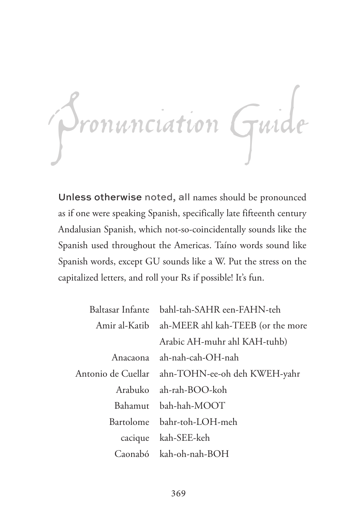

Unless otherwise noted, all names should be pronounced as if one were speaking Spanish, specifically late fifteenth century Andalusian Spanish, which not-so-coincidentally sounds like the Spanish used throughout the Americas. Taíno words sound like Spanish words, except GU sounds like a W. Put the stress on the capitalized letters, and roll your Rs if possible! It's fun.

| Baltasar Infante bahl-tah-SAHR een-FAHN-teh     |
|-------------------------------------------------|
| Amir al-Katib ah-MEER ahl kah-TEEB (or the more |
| Arabic AH-muhr ahl KAH-tuhb)                    |
| Anacaona ah-nah-cah-OH-nah                      |
| Antonio de Cuellar ahn-TOHN-ee-oh deh KWEH-yahr |
| Arabuko ah-rah-BOO-koh                          |
| Bahamut bah-hah-MOOT                            |
| Bartolome bahr-toh-LOH-meh                      |
| cacique kah-SEE-keh                             |
| Caonabó kah-oh-nah-BOH                          |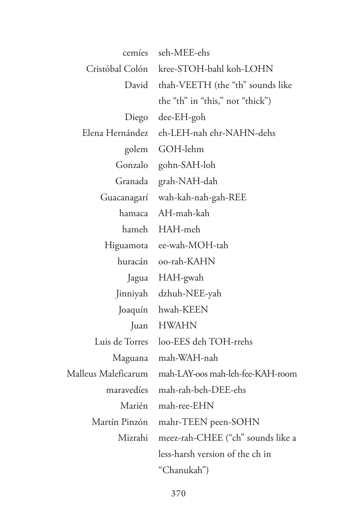| cemíes              | seh-MEE-ehs                             |
|---------------------|-----------------------------------------|
|                     | Cristóbal Colón kree-STOH-bahl koh-LOHN |
|                     | David thah-VEETH (the "th" sounds like  |
|                     | the "th" in "this," not "thick")        |
|                     | Diego dee-EH-goh                        |
| Elena Hernández     | eh-LEH-nah ehr-NAHN-dehs                |
|                     | golem GOH-lehm                          |
|                     | Gonzalo gohn-SAH-loh                    |
|                     | Granada grah-NAH-dah                    |
|                     | Guacanagarí wah-kah-nah-gah-REE         |
| hamaca              | AH-mah-kah                              |
|                     | hameh HAH-meh                           |
|                     | Higuamota ee-wah-MOH-tah                |
|                     | huracán oo-rah-KAHN                     |
|                     | Jagua HAH-gwah                          |
|                     | Jinniyah dzhuh-NEE-yah                  |
|                     | Joaquín hwah-KEEN                       |
|                     | Juan HWAHN                              |
|                     | Luis de Torres loo-EES deh TOH-rrehs    |
|                     | Maguana mah-WAH-nah                     |
| Malleus Maleficarum | mah-LAY-oos mah-leh-fee-KAH-room        |
|                     | maravedíes mah-rah-beh-DEE-ehs          |
|                     | Marién mah-ree-EHN                      |
|                     | Martín Pinzón mahr-TEEN peen-SOHN       |
| Mizrahi             | meez-rah-CHEE ("ch" sounds like a       |
|                     | less-harsh version of the ch in         |
|                     | "Chanukah")                             |